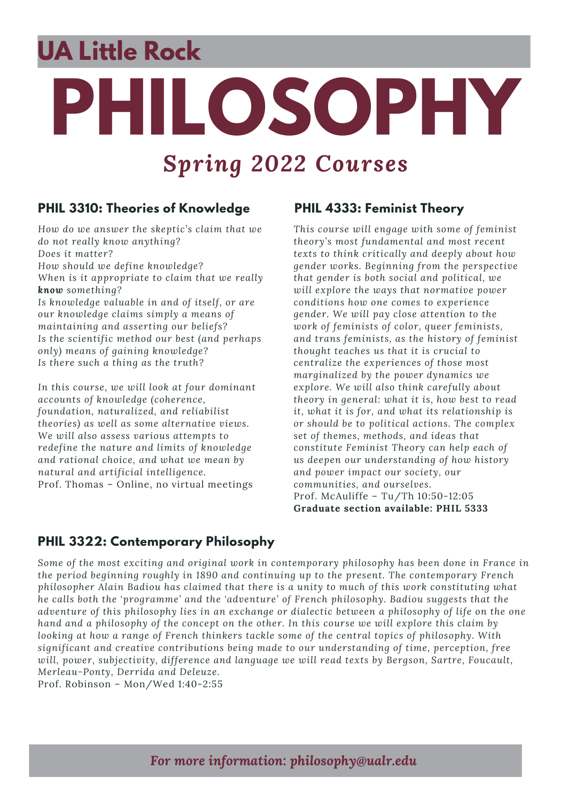# **PHILOSOPHY** *Spring 2022 Courses* **UA Little Rock**

#### **PHIL 3310: Theories of Knowledge**

*How do we answer the skeptic's claim that we do not really know anything? Does it matter? How should we define knowledge? When is it appropriate to claim that we really know something? Is knowledge valuable in and of itself, or are our knowledge claims simply a means of maintaining and asserting our beliefs? Is the scientific method our best (and perhaps only) means of gaining knowledge? Is there such a thing as the truth?*

*In this course, we will look at four dominant accounts of knowledge (coherence, foundation, naturalized, and reliabilist theories) as well as some alternative views. We will also assess various attempts to redefine the nature and limits of knowledge and rational choice, and what we mean by natural and artificial intelligence.* Prof. Thomas – Online, no virtual meetings

#### **PHIL 4333: Feminist Theory**

*This course will engage with some of feminist theory's most fundamental and most recent texts to think critically and deeply about how gender works. Beginning from the perspective that gender is both social and political, we will explore the ways that normative power conditions how one comes to experience gender. We will pay close attention to the work of feminists of color, queer feminists, and trans feminists, as the history of feminist thought teaches us that it is crucial to centralize the experiences of those most marginalized by the power dynamics we explore. We will also think carefully about theory in general: what it is, how best to read it, what it is for, and what its relationship is or should be to political actions. The complex set of themes, methods, and ideas that constitute Feminist Theory can help each of us deepen our understanding of how history and power impact our society, our communities, and ourselves.* Prof. McAuliffe – Tu/Th 10:50-12:05 **Graduate section available: PHIL 5333**

#### **PHIL 3322: Contemporary Philosophy**

*Some of the most exciting and original work in contemporary philosophy has been done in France in the period beginning roughly in 1890 and continuing up to the present. The contemporary French philosopher Alain Badiou has claimed that there is a unity to much of this work constituting what he calls both the 'programme' and the 'adventure' of French philosophy. Badiou suggests that the* adventure of this philosophy lies in an exchange or dialectic between a philosophy of life on the one hand and a philosophy of the concept on the other. In this course we will explore this claim by *looking at how a range of French thinkers tackle some of the central topics of philosophy. With significant and creative contributions being made to our understanding of time, perception, free will, power, subjectivity, difference and language we will read texts by Bergson, Sartre, Foucault, Merleau-Ponty, Derrida and Deleuze.*

Prof. Robinson – Mon/Wed 1:40-2:55